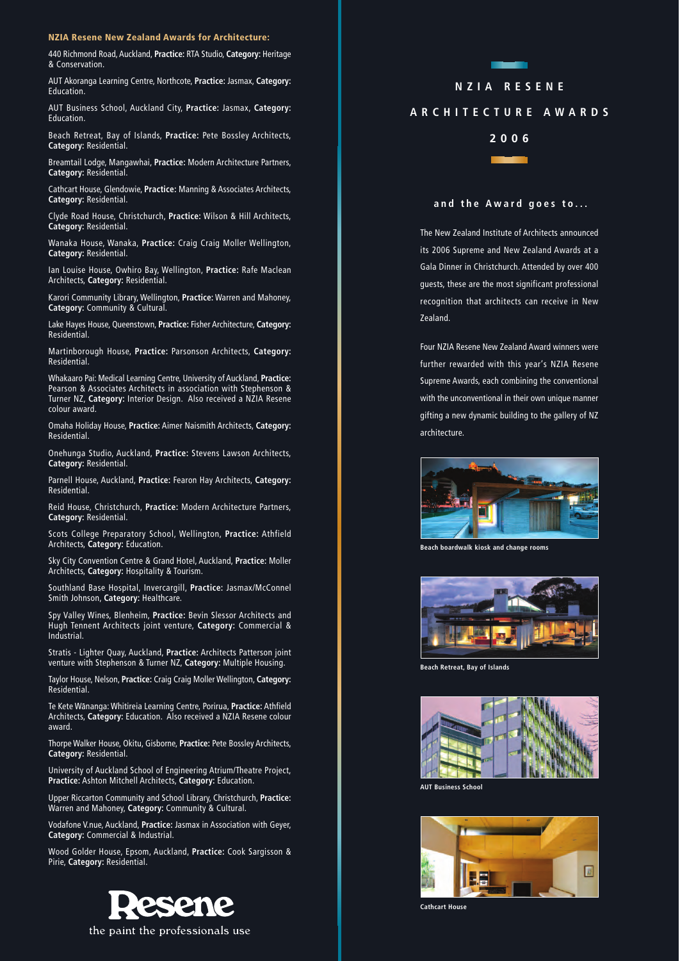## **NZIA Resene New Zealand Awards for Architecture:**

440 Richmond Road, Auckland, **Practice:** RTA Studio, **Category:** Heritage & Conservation.

AUT Akoranga Learning Centre, Northcote, **Practice:** Jasmax, **Category:** Education.

AUT Business School, Auckland City, **Practice:** Jasmax, **Category:** Education.

Beach Retreat, Bay of Islands, **Practice:** Pete Bossley Architects, **Category:** Residential.

Breamtail Lodge, Mangawhai, **Practice:** Modern Architecture Partners, **Category:** Residential.

Cathcart House, Glendowie, **Practice:** Manning & Associates Architects, **Category:** Residential.

Clyde Road House, Christchurch, **Practice:** Wilson & Hill Architects, **Category:** Residential.

Wanaka House, Wanaka, **Practice:** Craig Craig Moller Wellington, **Category:** Residential.

Ian Louise House, Owhiro Bay, Wellington, **Practice:** Rafe Maclean Architects, **Category:** Residential.

Karori Community Library, Wellington, **Practice:** Warren and Mahoney, **Category:** Community & Cultural.

Lake Hayes House, Queenstown, **Practice:** Fisher Architecture, **Category:** Residential.

Martinborough House, **Practice:** Parsonson Architects, **Category:** Residential.

Whakaaro Pai: Medical Learning Centre, University of Auckland, **Practice:** Pearson & Associates Architects in association with Stephenson & Turner NZ, **Category:** Interior Design. Also received a NZIA Resene colour award.

Omaha Holiday House, **Practice:** Aimer Naismith Architects, **Category:** Residential.

Onehunga Studio, Auckland, **Practice:** Stevens Lawson Architects, **Category:** Residential.

Parnell House, Auckland, **Practice:** Fearon Hay Architects, **Category:** Residential.

Reid House, Christchurch, **Practice:** Modern Architecture Partners, **Category:** Residential.

Scots College Preparatory School, Wellington, **Practice:** Athfield Architects, **Category:** Education.

Sky City Convention Centre & Grand Hotel, Auckland, **Practice:** Moller Architects, **Category:** Hospitality & Tourism.

Southland Base Hospital, Invercargill, **Practice:** Jasmax/McConnel Smith Johnson, **Category:** Healthcare.

Spy Valley Wines, Blenheim, **Practice:** Bevin Slessor Architects and Hugh Tennent Architects joint venture, **Category:** Commercial & Industrial.

Stratis - Lighter Quay, Auckland, **Practice:** Architects Patterson joint venture with Stephenson & Turner NZ, **Category:** Multiple Housing.

Taylor House, Nelson, **Practice:** Craig Craig Moller Wellington, **Category:** Residential.

Te Kete Wananga: Whitireia Learning Centre, Porirua, **Practice:** Athfield Architects, **Category:** Education. Also received a NZIA Resene colour award.

Thorpe Walker House, Okitu, Gisborne, **Practice:** Pete Bossley Architects, **Category:** Residential.

University of Auckland School of Engineering Atrium/Theatre Project, **Practice:** Ashton Mitchell Architects, **Category:** Education.

Upper Riccarton Community and School Library, Christchurch, **Practice:** Warren and Mahoney, **Category:** Community & Cultural.

Vodafone V.nue, Auckland, **Practice:** Jasmax in Association with Geyer, **Category:** Commercial & Industrial.

Wood Golder House, Epsom, Auckland, **Practice:** Cook Sargisson & Pirie, **Category:** Residential.



the paint the professionals use

## **NZIA RESENE ARCHITECTURE AWARDS**



## **and the Award goes to...**

The New Zealand Institute of Architects announced its 2006 Supreme and New Zealand Awards at a Gala Dinner in Christchurch. Attended by over 400 guests, these are the most significant professional recognition that architects can receive in New Zealand.

Four NZIA Resene New Zealand Award winners were further rewarded with this year's NZIA Resene Supreme Awards, each combining the conventional with the unconventional in their own unique manner gifting a new dynamic building to the gallery of NZ architecture.



**Beach boardwalk kiosk and change rooms**



**Beach Retreat, Bay of Islands**



**AUT Business School**



**Cathcart House**